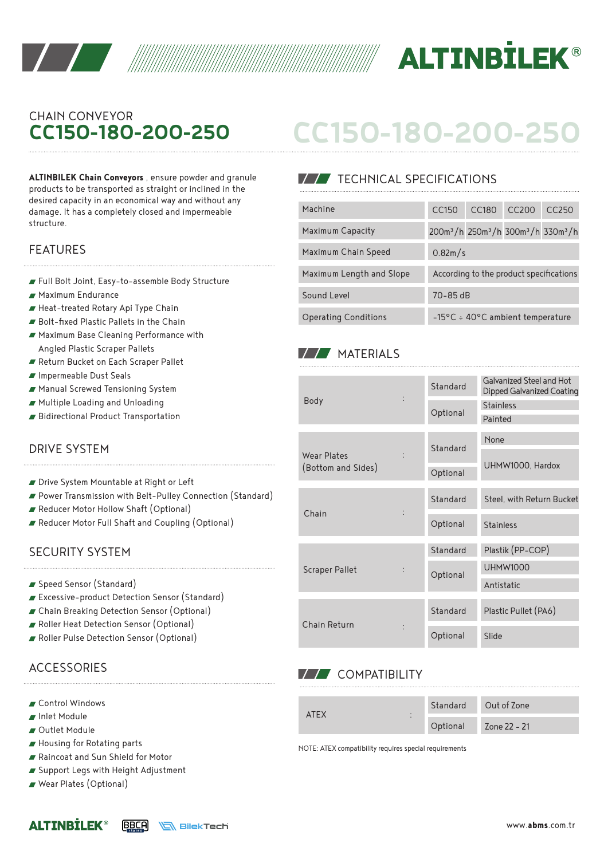



## CHAIN CONVEYOR **CC150-180-200-250**

**ALTINBILEK Chain Conveyors** , ensure powder and granule products to be transported as straight or inclined in the desired capacity in an economical way and without any damage. It has a completely closed and impermeable structure.

- Full Bolt Joint, Easy-to-assemble Body Structure
- Maximum Endurance
- Heat-treated Rotary Api Type Chain
- Bolt-fixed Plastic Pallets in the Chain
- Maximum Base Cleaning Performance with Angled Plastic Scraper Pallets
- Return Bucket on Each Scraper Pallet
- Impermeable Dust Seals
- Manual Screwed Tensioning System
- Multiple Loading and Unloading
- Bidirectional Product Transportation

#### DRIVE SYSTEM

- Drive System Mountable at Right or Left
- Power Transmission with Belt-Pulley Connection (Standard)
- Reducer Motor Hollow Shaft (Optional)
- Reducer Motor Full Shaft and Coupling (Optional)

#### SECURITY SYSTEM

- Speed Sensor (Standard)
- Excessive-product Detection Sensor (Standard)
- Chain Breaking Detection Sensor (Optional)
- Roller Heat Detection Sensor (Optional)
- Roller Pulse Detection Sensor (Optional)

### **ACCESSORIES**

- Control Windows
- Inlet Module
- Outlet Module
- Housing for Rotating parts
- Raincoat and Sun Shield for Motor
- Support Legs with Height Adjustment
- Wear Plates (Optional)

# **CC150-180-200-250**

#### **TECHNICAL SPECIFICATIONS**

| desired capacity in an economical way and without any                         |                             |                                                                                     |       |                                         |       |
|-------------------------------------------------------------------------------|-----------------------------|-------------------------------------------------------------------------------------|-------|-----------------------------------------|-------|
| damage. It has a completely closed and impermeable                            | Machine                     | CC150                                                                               | CC180 | CC200                                   | CC250 |
| structure.                                                                    | Maximum Capacity            | 200m <sup>3</sup> /h 250m <sup>3</sup> /h 300m <sup>3</sup> /h 330m <sup>3</sup> /h |       |                                         |       |
| <b>FEATURES</b>                                                               | Maximum Chain Speed         | 0.82m/s                                                                             |       |                                         |       |
| Full Bolt Joint, Easy-to-assemble Body Structure                              | Maximum Length and Slope    |                                                                                     |       | According to the product specifications |       |
| ■ Maximum Endurance                                                           | Sound Level                 | $70 - 85$ dB                                                                        |       |                                         |       |
| Heat-treated Rotary Api Type Chain<br>Bolt-fixed Plastic Pallets in the Chain | <b>Operating Conditions</b> |                                                                                     |       | -15°C ÷ 40°C ambient temperature        |       |

#### **MATERIALS**

| <b>Body</b>                       |  | Standard | Galvanized Steel and Hot<br>Dipped Galvanized Coating |  |  |
|-----------------------------------|--|----------|-------------------------------------------------------|--|--|
|                                   |  | Optional | <b>Stainless</b>                                      |  |  |
|                                   |  |          | Painted                                               |  |  |
| Wear Plates<br>(Bottom and Sides) |  | Standard | None                                                  |  |  |
|                                   |  |          |                                                       |  |  |
|                                   |  | Optional | UHMW1000, Hardox                                      |  |  |
|                                   |  |          |                                                       |  |  |
| Chain                             |  | Standard | Steel, with Return Bucket                             |  |  |
|                                   |  | Optional | <b>Stainless</b>                                      |  |  |
|                                   |  | Standard | Plastik (PP-COP)                                      |  |  |
| <b>Scraper Pallet</b>             |  | Optional | <b>UHMW1000</b>                                       |  |  |
|                                   |  |          | Antistatic                                            |  |  |
| Chain Return                      |  |          |                                                       |  |  |
|                                   |  | Standard | Plastic Pullet (PA6)                                  |  |  |
|                                   |  | Optional | Slide                                                 |  |  |

#### **V/V** COMPATIBILITY

| ATFX<br>$\cdot$<br>$\cdot$ | Standard | Out of Zone  |  |
|----------------------------|----------|--------------|--|
|                            | Optional | Zone 22 - 21 |  |

NOTE: ATEX compatibility requires special requirements